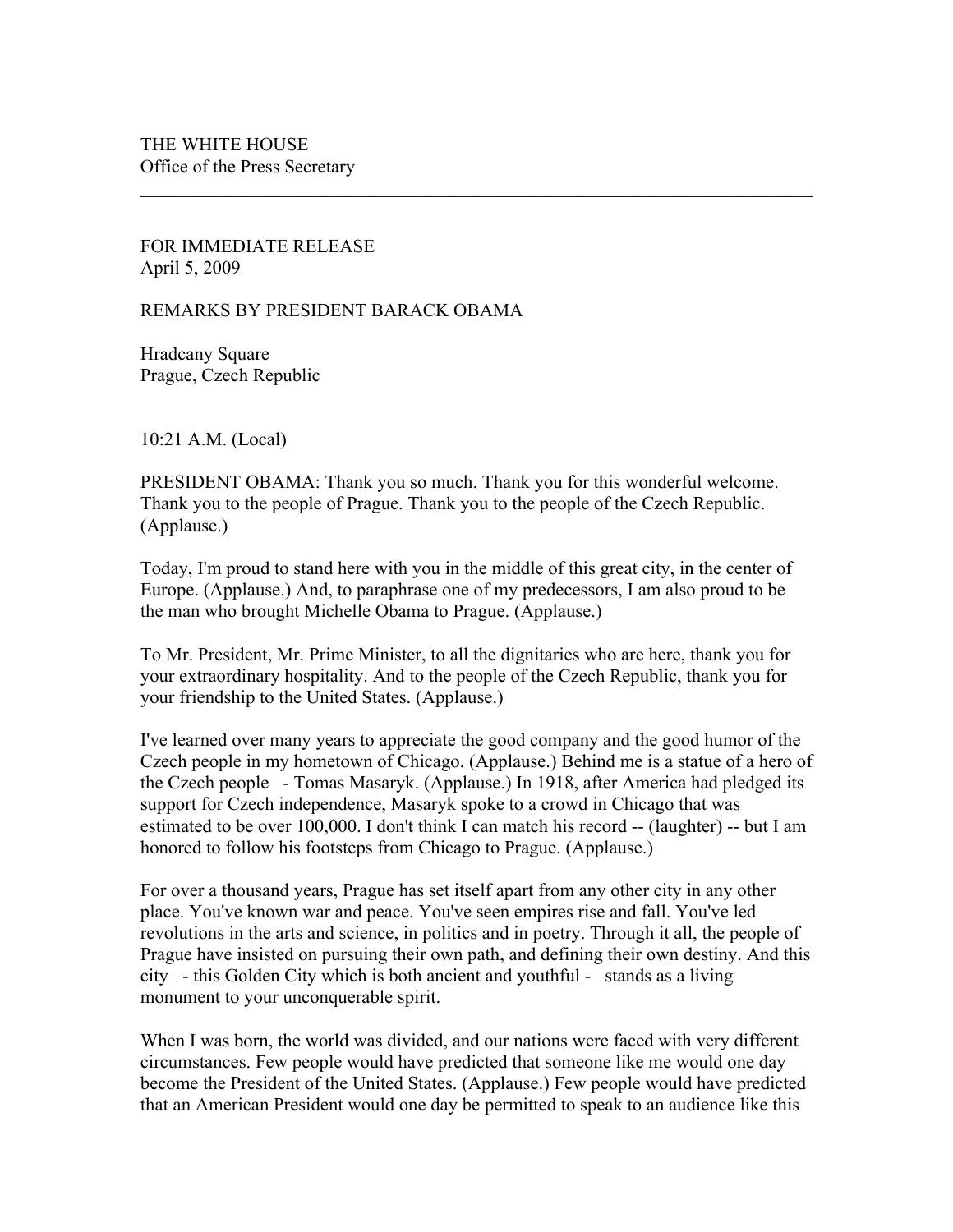FOR IMMEDIATE RELEASE April 5, 2009

REMARKS BY PRESIDENT BARACK OBAMA

Hradcany Square Prague, Czech Republic

10:21 A.M. (Local)

PRESIDENT OBAMA: Thank you so much. Thank you for this wonderful welcome. Thank you to the people of Prague. Thank you to the people of the Czech Republic. (Applause.)

 $\mathcal{L}_\mathcal{L} = \{ \mathcal{L}_\mathcal{L} = \{ \mathcal{L}_\mathcal{L} = \{ \mathcal{L}_\mathcal{L} = \{ \mathcal{L}_\mathcal{L} = \{ \mathcal{L}_\mathcal{L} = \{ \mathcal{L}_\mathcal{L} = \{ \mathcal{L}_\mathcal{L} = \{ \mathcal{L}_\mathcal{L} = \{ \mathcal{L}_\mathcal{L} = \{ \mathcal{L}_\mathcal{L} = \{ \mathcal{L}_\mathcal{L} = \{ \mathcal{L}_\mathcal{L} = \{ \mathcal{L}_\mathcal{L} = \{ \mathcal{L}_\mathcal{$ 

Today, I'm proud to stand here with you in the middle of this great city, in the center of Europe. (Applause.) And, to paraphrase one of my predecessors, I am also proud to be the man who brought Michelle Obama to Prague. (Applause.)

To Mr. President, Mr. Prime Minister, to all the dignitaries who are here, thank you for your extraordinary hospitality. And to the people of the Czech Republic, thank you for your friendship to the United States. (Applause.)

I've learned over many years to appreciate the good company and the good humor of the Czech people in my hometown of Chicago. (Applause.) Behind me is a statue of a hero of the Czech people –- Tomas Masaryk. (Applause.) In 1918, after America had pledged its support for Czech independence, Masaryk spoke to a crowd in Chicago that was estimated to be over 100,000. I don't think I can match his record -- (laughter) -- but I am honored to follow his footsteps from Chicago to Prague. (Applause.)

For over a thousand years, Prague has set itself apart from any other city in any other place. You've known war and peace. You've seen empires rise and fall. You've led revolutions in the arts and science, in politics and in poetry. Through it all, the people of Prague have insisted on pursuing their own path, and defining their own destiny. And this  $city$  –- this Golden City which is both ancient and youthful –– stands as a living monument to your unconquerable spirit.

When I was born, the world was divided, and our nations were faced with very different circumstances. Few people would have predicted that someone like me would one day become the President of the United States. (Applause.) Few people would have predicted that an American President would one day be permitted to speak to an audience like this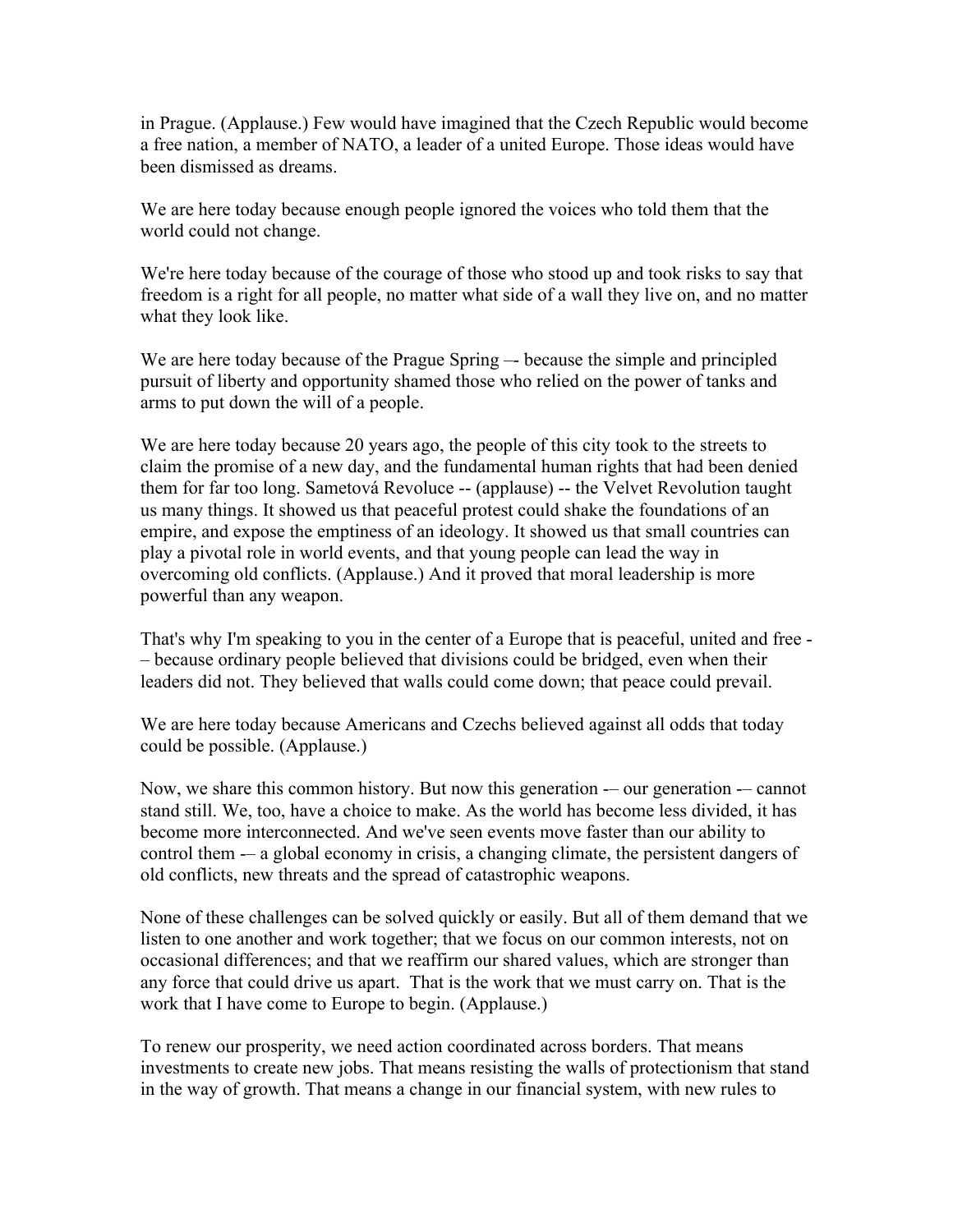in Prague. (Applause.) Few would have imagined that the Czech Republic would become a free nation, a member of NATO, a leader of a united Europe. Those ideas would have been dismissed as dreams.

We are here today because enough people ignored the voices who told them that the world could not change.

We're here today because of the courage of those who stood up and took risks to say that freedom is a right for all people, no matter what side of a wall they live on, and no matter what they look like.

We are here today because of the Prague Spring -- because the simple and principled pursuit of liberty and opportunity shamed those who relied on the power of tanks and arms to put down the will of a people.

We are here today because 20 years ago, the people of this city took to the streets to claim the promise of a new day, and the fundamental human rights that had been denied them for far too long. Sametová Revoluce -- (applause) -- the Velvet Revolution taught us many things. It showed us that peaceful protest could shake the foundations of an empire, and expose the emptiness of an ideology. It showed us that small countries can play a pivotal role in world events, and that young people can lead the way in overcoming old conflicts. (Applause.) And it proved that moral leadership is more powerful than any weapon.

That's why I'm speaking to you in the center of a Europe that is peaceful, united and free - – because ordinary people believed that divisions could be bridged, even when their leaders did not. They believed that walls could come down; that peace could prevail.

We are here today because Americans and Czechs believed against all odds that today could be possible. (Applause.)

Now, we share this common history. But now this generation -– our generation -– cannot stand still. We, too, have a choice to make. As the world has become less divided, it has become more interconnected. And we've seen events move faster than our ability to control them -– a global economy in crisis, a changing climate, the persistent dangers of old conflicts, new threats and the spread of catastrophic weapons.

None of these challenges can be solved quickly or easily. But all of them demand that we listen to one another and work together; that we focus on our common interests, not on occasional differences; and that we reaffirm our shared values, which are stronger than any force that could drive us apart. That is the work that we must carry on. That is the work that I have come to Europe to begin. (Applause.)

To renew our prosperity, we need action coordinated across borders. That means investments to create new jobs. That means resisting the walls of protectionism that stand in the way of growth. That means a change in our financial system, with new rules to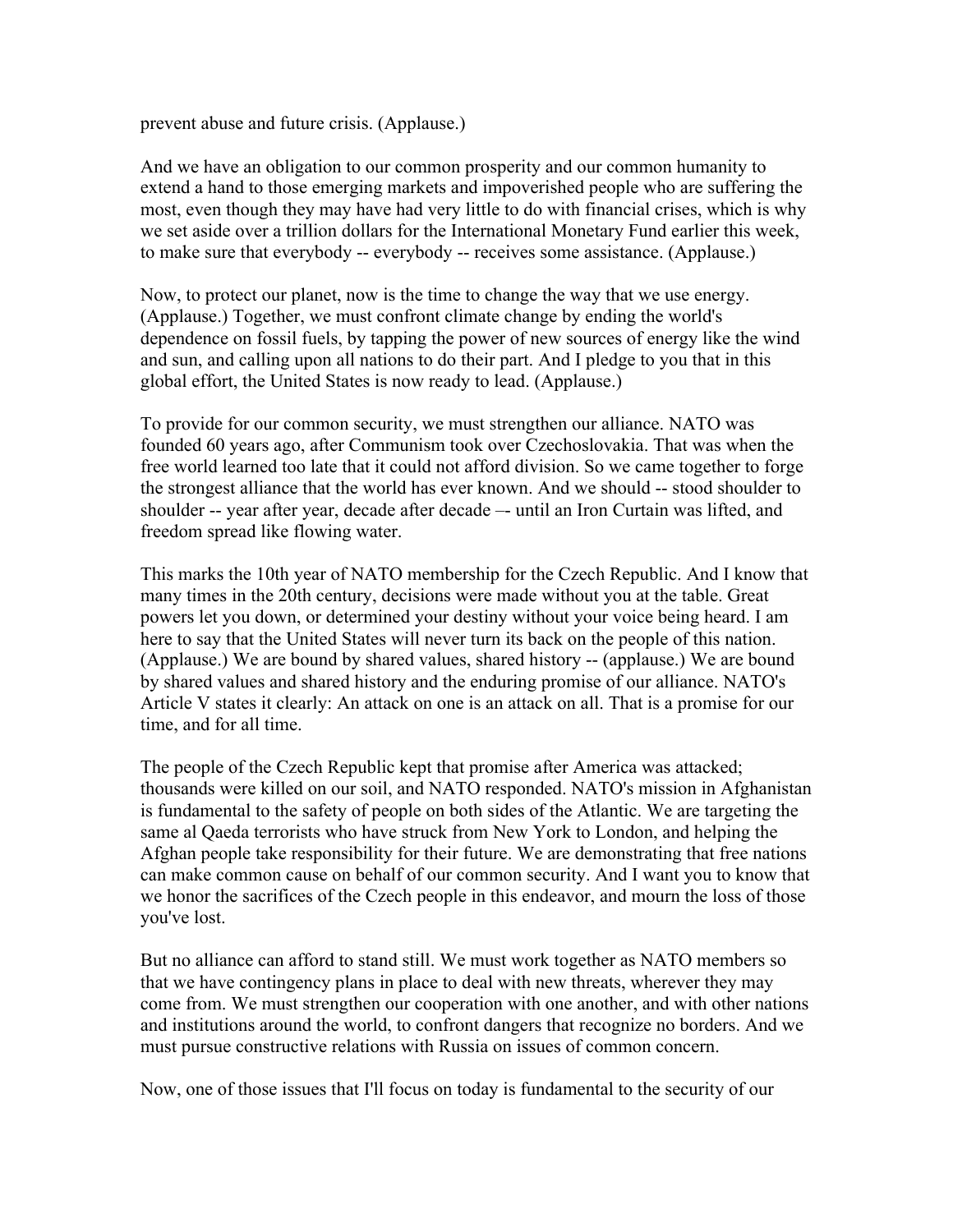prevent abuse and future crisis. (Applause.)

And we have an obligation to our common prosperity and our common humanity to extend a hand to those emerging markets and impoverished people who are suffering the most, even though they may have had very little to do with financial crises, which is why we set aside over a trillion dollars for the International Monetary Fund earlier this week, to make sure that everybody -- everybody -- receives some assistance. (Applause.)

Now, to protect our planet, now is the time to change the way that we use energy. (Applause.) Together, we must confront climate change by ending the world's dependence on fossil fuels, by tapping the power of new sources of energy like the wind and sun, and calling upon all nations to do their part. And I pledge to you that in this global effort, the United States is now ready to lead. (Applause.)

To provide for our common security, we must strengthen our alliance. NATO was founded 60 years ago, after Communism took over Czechoslovakia. That was when the free world learned too late that it could not afford division. So we came together to forge the strongest alliance that the world has ever known. And we should -- stood shoulder to shoulder -- year after year, decade after decade –- until an Iron Curtain was lifted, and freedom spread like flowing water.

This marks the 10th year of NATO membership for the Czech Republic. And I know that many times in the 20th century, decisions were made without you at the table. Great powers let you down, or determined your destiny without your voice being heard. I am here to say that the United States will never turn its back on the people of this nation. (Applause.) We are bound by shared values, shared history -- (applause.) We are bound by shared values and shared history and the enduring promise of our alliance. NATO's Article V states it clearly: An attack on one is an attack on all. That is a promise for our time, and for all time.

The people of the Czech Republic kept that promise after America was attacked; thousands were killed on our soil, and NATO responded. NATO's mission in Afghanistan is fundamental to the safety of people on both sides of the Atlantic. We are targeting the same al Qaeda terrorists who have struck from New York to London, and helping the Afghan people take responsibility for their future. We are demonstrating that free nations can make common cause on behalf of our common security. And I want you to know that we honor the sacrifices of the Czech people in this endeavor, and mourn the loss of those you've lost.

But no alliance can afford to stand still. We must work together as NATO members so that we have contingency plans in place to deal with new threats, wherever they may come from. We must strengthen our cooperation with one another, and with other nations and institutions around the world, to confront dangers that recognize no borders. And we must pursue constructive relations with Russia on issues of common concern.

Now, one of those issues that I'll focus on today is fundamental to the security of our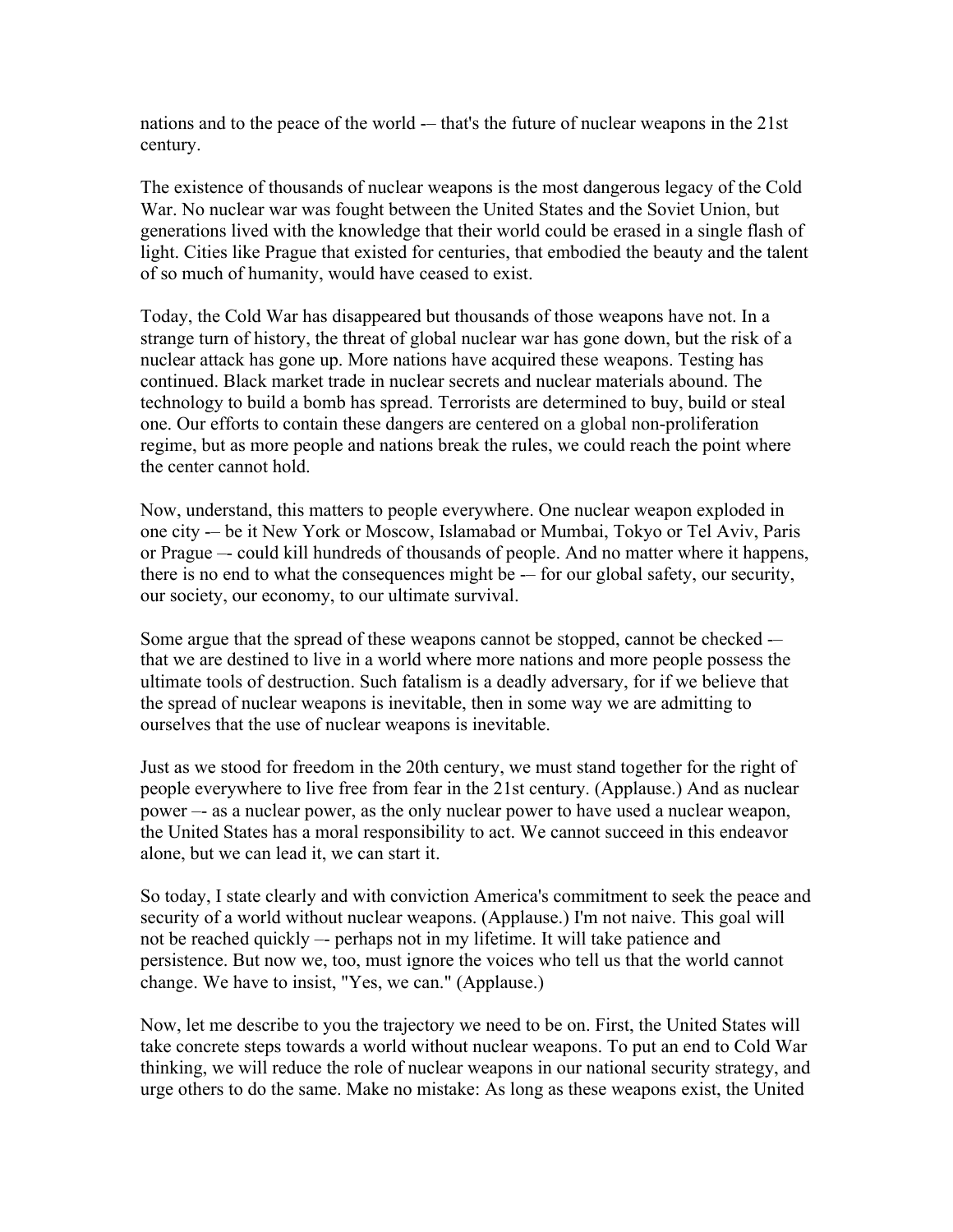nations and to the peace of the world -- that's the future of nuclear weapons in the 21st century.

The existence of thousands of nuclear weapons is the most dangerous legacy of the Cold War. No nuclear war was fought between the United States and the Soviet Union, but generations lived with the knowledge that their world could be erased in a single flash of light. Cities like Prague that existed for centuries, that embodied the beauty and the talent of so much of humanity, would have ceased to exist.

Today, the Cold War has disappeared but thousands of those weapons have not. In a strange turn of history, the threat of global nuclear war has gone down, but the risk of a nuclear attack has gone up. More nations have acquired these weapons. Testing has continued. Black market trade in nuclear secrets and nuclear materials abound. The technology to build a bomb has spread. Terrorists are determined to buy, build or steal one. Our efforts to contain these dangers are centered on a global non-proliferation regime, but as more people and nations break the rules, we could reach the point where the center cannot hold.

Now, understand, this matters to people everywhere. One nuclear weapon exploded in one city -– be it New York or Moscow, Islamabad or Mumbai, Tokyo or Tel Aviv, Paris or Prague –- could kill hundreds of thousands of people. And no matter where it happens, there is no end to what the consequences might be -– for our global safety, our security, our society, our economy, to our ultimate survival.

Some argue that the spread of these weapons cannot be stopped, cannot be checked -– that we are destined to live in a world where more nations and more people possess the ultimate tools of destruction. Such fatalism is a deadly adversary, for if we believe that the spread of nuclear weapons is inevitable, then in some way we are admitting to ourselves that the use of nuclear weapons is inevitable.

Just as we stood for freedom in the 20th century, we must stand together for the right of people everywhere to live free from fear in the 21st century. (Applause.) And as nuclear power –- as a nuclear power, as the only nuclear power to have used a nuclear weapon, the United States has a moral responsibility to act. We cannot succeed in this endeavor alone, but we can lead it, we can start it.

So today, I state clearly and with conviction America's commitment to seek the peace and security of a world without nuclear weapons. (Applause.) I'm not naive. This goal will not be reached quickly –- perhaps not in my lifetime. It will take patience and persistence. But now we, too, must ignore the voices who tell us that the world cannot change. We have to insist, "Yes, we can." (Applause.)

Now, let me describe to you the trajectory we need to be on. First, the United States will take concrete steps towards a world without nuclear weapons. To put an end to Cold War thinking, we will reduce the role of nuclear weapons in our national security strategy, and urge others to do the same. Make no mistake: As long as these weapons exist, the United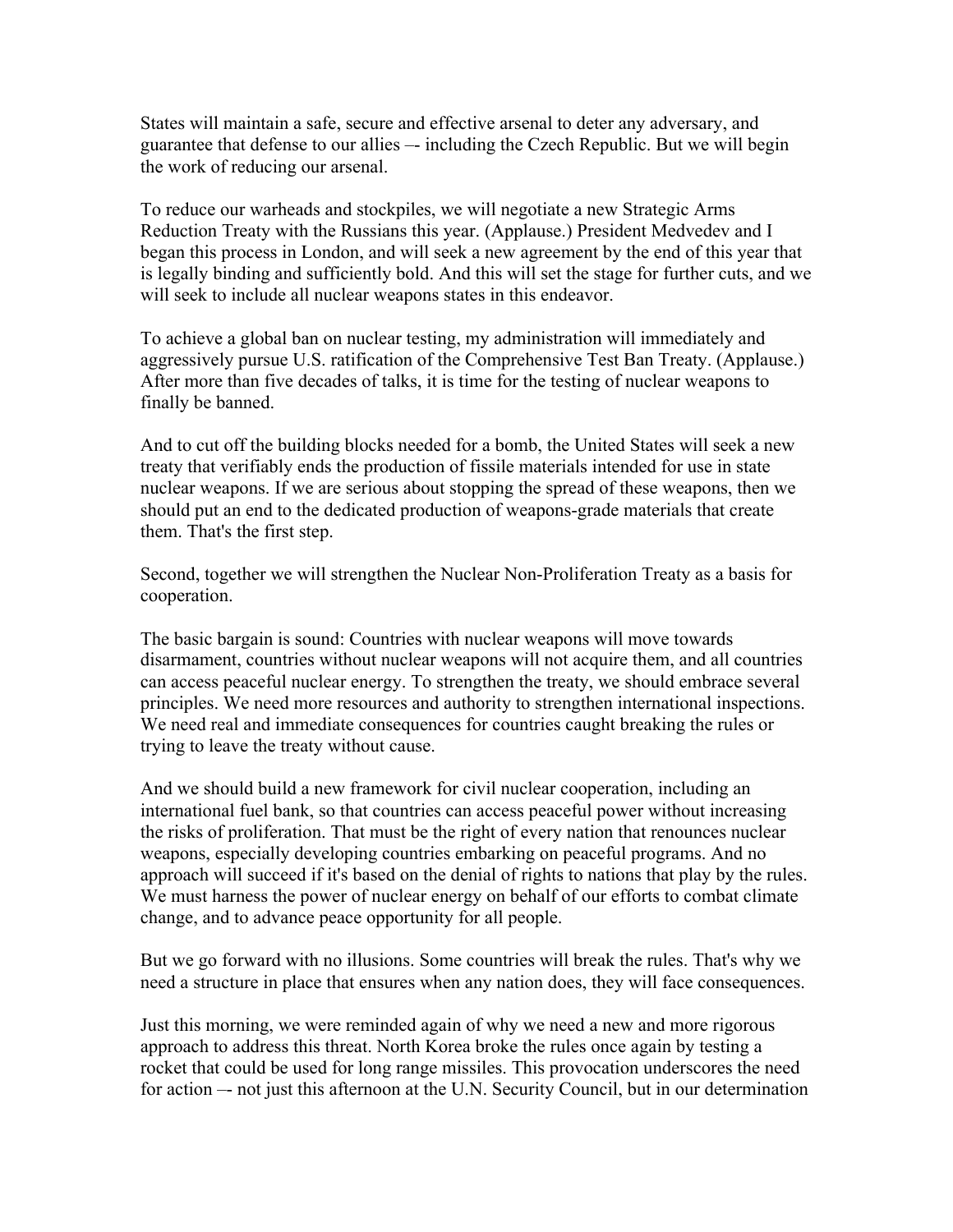States will maintain a safe, secure and effective arsenal to deter any adversary, and guarantee that defense to our allies –- including the Czech Republic. But we will begin the work of reducing our arsenal.

To reduce our warheads and stockpiles, we will negotiate a new Strategic Arms Reduction Treaty with the Russians this year. (Applause.) President Medvedev and I began this process in London, and will seek a new agreement by the end of this year that is legally binding and sufficiently bold. And this will set the stage for further cuts, and we will seek to include all nuclear weapons states in this endeavor.

To achieve a global ban on nuclear testing, my administration will immediately and aggressively pursue U.S. ratification of the Comprehensive Test Ban Treaty. (Applause.) After more than five decades of talks, it is time for the testing of nuclear weapons to finally be banned.

And to cut off the building blocks needed for a bomb, the United States will seek a new treaty that verifiably ends the production of fissile materials intended for use in state nuclear weapons. If we are serious about stopping the spread of these weapons, then we should put an end to the dedicated production of weapons-grade materials that create them. That's the first step.

Second, together we will strengthen the Nuclear Non-Proliferation Treaty as a basis for cooperation.

The basic bargain is sound: Countries with nuclear weapons will move towards disarmament, countries without nuclear weapons will not acquire them, and all countries can access peaceful nuclear energy. To strengthen the treaty, we should embrace several principles. We need more resources and authority to strengthen international inspections. We need real and immediate consequences for countries caught breaking the rules or trying to leave the treaty without cause.

And we should build a new framework for civil nuclear cooperation, including an international fuel bank, so that countries can access peaceful power without increasing the risks of proliferation. That must be the right of every nation that renounces nuclear weapons, especially developing countries embarking on peaceful programs. And no approach will succeed if it's based on the denial of rights to nations that play by the rules. We must harness the power of nuclear energy on behalf of our efforts to combat climate change, and to advance peace opportunity for all people.

But we go forward with no illusions. Some countries will break the rules. That's why we need a structure in place that ensures when any nation does, they will face consequences.

Just this morning, we were reminded again of why we need a new and more rigorous approach to address this threat. North Korea broke the rules once again by testing a rocket that could be used for long range missiles. This provocation underscores the need for action –- not just this afternoon at the U.N. Security Council, but in our determination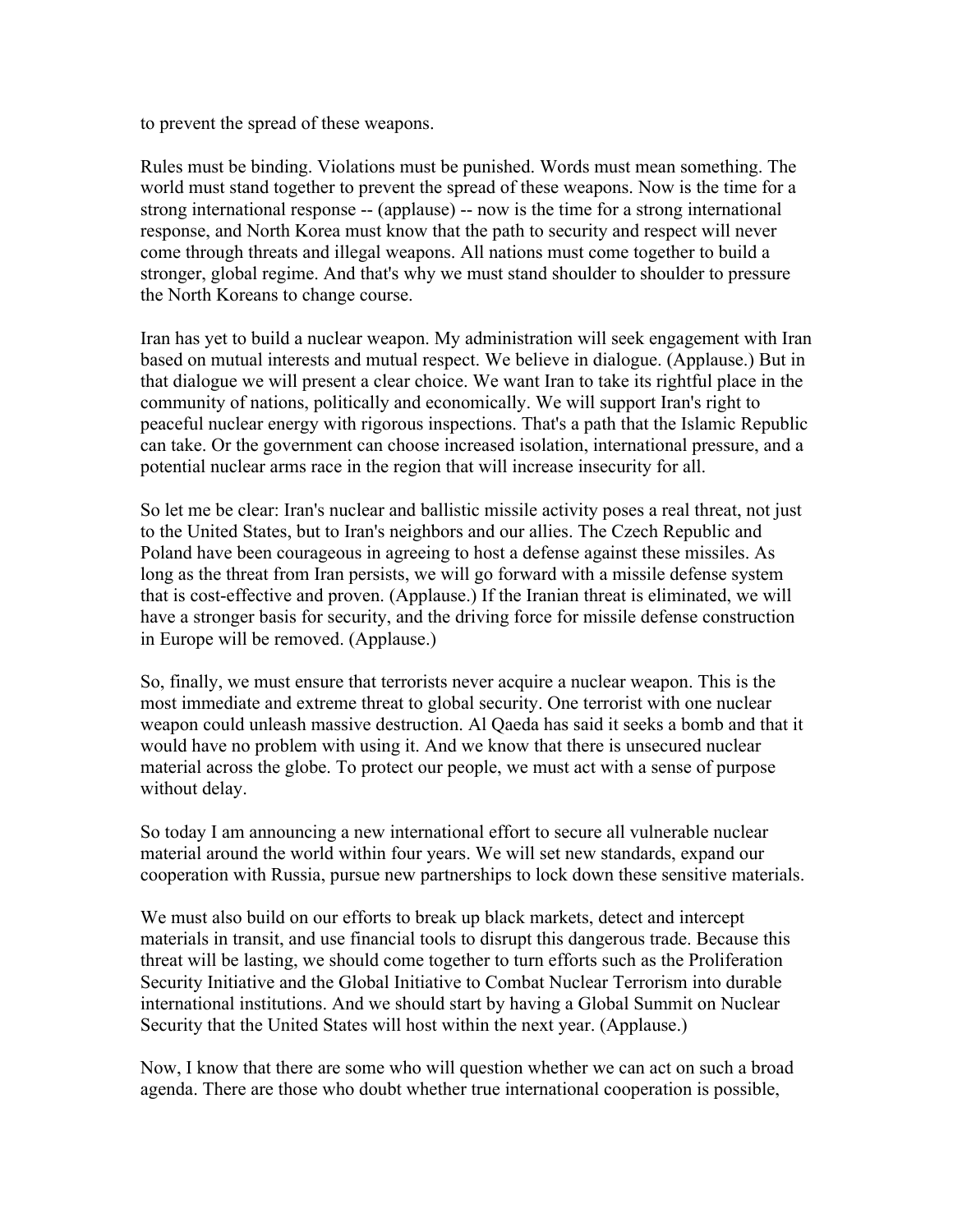to prevent the spread of these weapons.

Rules must be binding. Violations must be punished. Words must mean something. The world must stand together to prevent the spread of these weapons. Now is the time for a strong international response -- (applause) -- now is the time for a strong international response, and North Korea must know that the path to security and respect will never come through threats and illegal weapons. All nations must come together to build a stronger, global regime. And that's why we must stand shoulder to shoulder to pressure the North Koreans to change course.

Iran has yet to build a nuclear weapon. My administration will seek engagement with Iran based on mutual interests and mutual respect. We believe in dialogue. (Applause.) But in that dialogue we will present a clear choice. We want Iran to take its rightful place in the community of nations, politically and economically. We will support Iran's right to peaceful nuclear energy with rigorous inspections. That's a path that the Islamic Republic can take. Or the government can choose increased isolation, international pressure, and a potential nuclear arms race in the region that will increase insecurity for all.

So let me be clear: Iran's nuclear and ballistic missile activity poses a real threat, not just to the United States, but to Iran's neighbors and our allies. The Czech Republic and Poland have been courageous in agreeing to host a defense against these missiles. As long as the threat from Iran persists, we will go forward with a missile defense system that is cost-effective and proven. (Applause.) If the Iranian threat is eliminated, we will have a stronger basis for security, and the driving force for missile defense construction in Europe will be removed. (Applause.)

So, finally, we must ensure that terrorists never acquire a nuclear weapon. This is the most immediate and extreme threat to global security. One terrorist with one nuclear weapon could unleash massive destruction. Al Qaeda has said it seeks a bomb and that it would have no problem with using it. And we know that there is unsecured nuclear material across the globe. To protect our people, we must act with a sense of purpose without delay.

So today I am announcing a new international effort to secure all vulnerable nuclear material around the world within four years. We will set new standards, expand our cooperation with Russia, pursue new partnerships to lock down these sensitive materials.

We must also build on our efforts to break up black markets, detect and intercept materials in transit, and use financial tools to disrupt this dangerous trade. Because this threat will be lasting, we should come together to turn efforts such as the Proliferation Security Initiative and the Global Initiative to Combat Nuclear Terrorism into durable international institutions. And we should start by having a Global Summit on Nuclear Security that the United States will host within the next year. (Applause.)

Now, I know that there are some who will question whether we can act on such a broad agenda. There are those who doubt whether true international cooperation is possible,